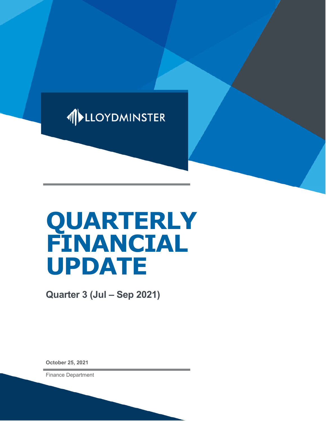

# **QUARTERLY FINANCIAL UPDATE**

**Quarter 3 (Jul – Sep 2021)**

**October 25, 2021**

Finance Department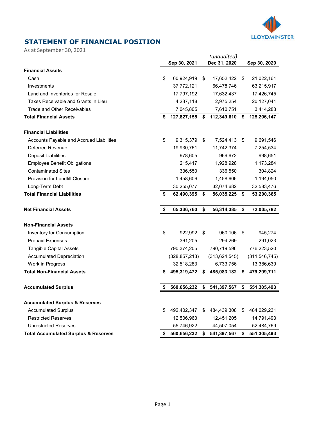

## **STATEMENT OF FINANCIAL POSITION**

As at September 30, 2021

|                                                 | Sep 30, 2021      | (unaudited)<br>Dec 31, 2020 |                 |      | Sep 30, 2020    |  |  |
|-------------------------------------------------|-------------------|-----------------------------|-----------------|------|-----------------|--|--|
| <b>Financial Assets</b>                         |                   |                             |                 |      |                 |  |  |
| Cash                                            | \$<br>60,924,919  | \$                          | 17,652,422      | \$   | 21,022,161      |  |  |
| Investments                                     | 37,772,121        |                             | 66,478,746      |      | 63,215,917      |  |  |
| Land and Inventories for Resale                 | 17,797,192        |                             | 17,632,437      |      | 17,426,745      |  |  |
| Taxes Receivable and Grants in Lieu             | 4,287,118         |                             | 2,975,254       |      | 20,127,041      |  |  |
| <b>Trade and Other Receivables</b>              | 7,045,805         |                             | 7,610,751       |      | 3,414,283       |  |  |
| <b>Total Financial Assets</b>                   | \$<br>127,827,155 | \$                          | 112,349,610     | \$   | 125,206,147     |  |  |
| <b>Financial Liabilities</b>                    |                   |                             |                 |      |                 |  |  |
| Accounts Payable and Accrued Liabilities        | \$<br>9,315,379   | \$                          | 7,524,413       | - \$ | 9,691,546       |  |  |
| <b>Deferred Revenue</b>                         | 19,930,761        |                             | 11,742,374      |      | 7,254,534       |  |  |
| Deposit Liabilities                             | 978,605           |                             | 969,672         |      | 998,651         |  |  |
| <b>Employee Benefit Obligations</b>             | 215,417           |                             | 1,928,928       |      | 1,173,284       |  |  |
| <b>Contaminated Sites</b>                       | 336,550           |                             | 336,550         |      | 304,824         |  |  |
| Provision for Landfill Closure                  | 1,458,606         |                             | 1,458,606       |      | 1,194,050       |  |  |
| Long-Term Debt                                  | 30,255,077        |                             | 32,074,682      |      | 32,583,476      |  |  |
| <b>Total Financial Liabilities</b>              | \$<br>62,490,395  | \$                          | 56,035,225      | \$   | 53,200,365      |  |  |
| <b>Net Financial Assets</b>                     | \$<br>65,336,760  | \$                          | 56,314,385      | \$   | 72,005,782      |  |  |
| <b>Non-Financial Assets</b>                     |                   |                             |                 |      |                 |  |  |
| Inventory for Consumption                       | \$<br>922,992     | \$                          | 960,106         | \$   | 945,274         |  |  |
| <b>Prepaid Expenses</b>                         | 361,205           |                             | 294,269         |      | 291,023         |  |  |
| <b>Tangible Capital Assets</b>                  | 790,374,205       |                             | 790,719,596     |      | 776,223,520     |  |  |
| <b>Accumulated Depreciation</b>                 | (328, 857, 213)   |                             | (313, 624, 545) |      | (311, 546, 745) |  |  |
| Work in Progress                                | 32,518,283        |                             | 6,733,756       |      | 13,386,639      |  |  |
| <b>Total Non-Financial Assets</b>               | \$<br>495,319,472 | \$                          | 485,083,182     | s.   | 479,299,711     |  |  |
| <b>Accumulated Surplus</b>                      | \$<br>560,656,232 | \$                          | 541,397,567     | \$   | 551,305,493     |  |  |
| <b>Accumulated Surplus &amp; Reserves</b>       |                   |                             |                 |      |                 |  |  |
| <b>Accumulated Surplus</b>                      | \$<br>492,402,347 | \$                          | 484,439,308     | \$   | 484,029,231     |  |  |
| <b>Restricted Reserves</b>                      | 12,506,963        |                             | 12,451,205      |      | 14,791,493      |  |  |
| <b>Unrestricted Reserves</b>                    | 55,746,922        |                             | 44,507,054      |      | 52,484,769      |  |  |
| <b>Total Accumulated Surplus &amp; Reserves</b> | \$<br>560,656,232 | S                           | 541,397,567     | S.   | 551,305,493     |  |  |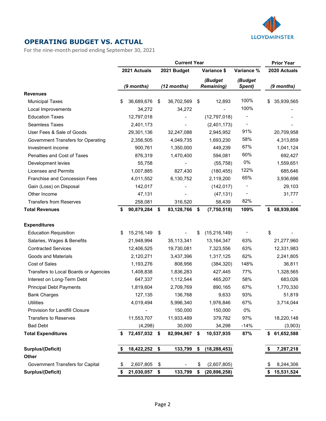

#### **OPERATING BUDGET VS. ACTUAL**

For the nine-month period ending September 30, 2021

|                                           |    |              |      | <b>Current Year</b> |                              |                   |            | <b>Prior Year</b> |
|-------------------------------------------|----|--------------|------|---------------------|------------------------------|-------------------|------------|-------------------|
|                                           |    | 2021 Actuals |      | 2021 Budget         | Variance \$                  | Variance %        |            | 2020 Actuals      |
|                                           |    | (9 months)   |      | $(12$ months)       | (Budget<br><b>Remaining)</b> | (Budget<br>Spent) | (9 months) |                   |
| <b>Revenues</b>                           |    |              |      |                     |                              |                   |            |                   |
| <b>Municipal Taxes</b>                    | \$ | 36,689,676   | \$   | 36,702,569          | \$<br>12,893                 | 100%              | \$         | 35,939,565        |
| Local Improvements                        |    | 34,272       |      | 34,272              |                              | 100%              |            |                   |
| <b>Education Taxes</b>                    |    | 12,797,018   |      |                     | (12,797,018)                 |                   |            |                   |
| <b>Seamless Taxes</b>                     |    | 2,401,173    |      |                     | (2,401,173)                  |                   |            |                   |
| User Fees & Sale of Goods                 |    | 29,301,136   |      | 32,247,088          | 2,945,952                    | 91%               |            | 20,709,958        |
| Government Transfers for Operating        |    | 2,356,505    |      | 4,049,735           | 1,693,230                    | 58%               |            | 4,313,859         |
| Investment income                         |    | 900,761      |      | 1,350,000           | 449,239                      | 67%               |            | 1,041,124         |
| Penalties and Cost of Taxes               |    | 876,319      |      | 1,470,400           | 594,081                      | 60%               |            | 692,427           |
| Development levies                        |    | 55,758       |      |                     | (55, 758)                    | $0\%$             |            | 1,559,651         |
| <b>Licenses and Permits</b>               |    | 1,007,885    |      | 827,430             | (180, 455)                   | 122%              |            | 685,646           |
| Franchise and Concession Fees             |    | 4,011,552    |      | 6,130,752           | 2,119,200                    | 65%               |            | 3,936,696         |
| Gain (Loss) on Disposal                   |    | 142,017      |      |                     | (142, 017)                   |                   |            | 29,103            |
| Other Income                              |    | 47,131       |      |                     | (47, 131)                    |                   |            | 31,777            |
| <b>Transfers from Reserves</b>            |    | 258,081      |      | 316,520             | 58,439                       | 82%               |            |                   |
| <b>Total Revenues</b>                     | S  | 90,879,284   | \$   | 83,128,766          | \$<br>(7,750,518)            | 109%              | S.         | 68,939,806        |
| <b>Expenditures</b>                       |    |              |      |                     |                              |                   |            |                   |
| <b>Education Requisition</b>              | \$ | 15,216,149   | \$   |                     | \$<br>(15, 216, 149)         |                   | \$         |                   |
| Salaries, Wages & Benefits                |    | 21,948,994   |      | 35,113,341          | 13,164,347                   | 63%               |            | 21,277,960        |
| <b>Contracted Services</b>                |    | 12,406,525   |      | 19,730,081          | 7,323,556                    | 63%               |            | 12,331,983        |
| <b>Goods and Materials</b>                |    | 2,120,271    |      | 3,437,396           | 1,317,125                    | 62%               |            | 2,241,805         |
| Cost of Sales                             |    | 1,193,276    |      | 808,956             | (384, 320)                   | 148%              |            | 36,811            |
| Transfers to Local Boards or Agencies     |    | 1,408,838    |      | 1,836,283           | 427,445                      | 77%               |            | 1,328,565         |
| Interest on Long-Term Debt                |    | 647,337      |      | 1,112,544           | 465,207                      | 58%               |            | 683,026           |
| <b>Principal Debt Payments</b>            |    | 1,819,604    |      | 2,709,769           | 890,165                      | 67%               |            | 1,770,330         |
| <b>Bank Charges</b>                       |    | 127,135      |      | 136,768             | 9,633                        | 93%               |            | 51,819            |
| <b>Utilities</b>                          |    | 4,019,494    |      | 5,996,340           | 1,976,846                    | 67%               |            | 3,714,044         |
| Provision for Landfill Closure            |    |              |      | 150,000             | 150,000                      | $0\%$             |            |                   |
| <b>Transfers to Reserves</b>              |    | 11,553,707   |      | 11,933,489          | 379,782                      | 97%               |            | 18,220,148        |
| <b>Bad Debt</b>                           |    | (4,298)      |      | 30,000              | 34,298                       | $-14%$            |            | (3,903)           |
| <b>Total Expenditures</b>                 | S  | 72,457,032   | - \$ | 82,994,967          | \$<br>10,537,935             | 87%               | \$         | 61,652,588        |
| <b>Surplus/(Deficit)</b>                  |    | 18,422,252   | \$   | 133,799             | \$<br>(18, 288, 453)         |                   |            | 7,287,218         |
| Other<br>Government Transfers for Capital | S  | 2,607,805    | \$   |                     | \$<br>(2,607,805)            |                   |            | 8,244,306         |
| <b>Surplus/(Deficit)</b>                  | \$ | 21,030,057   | \$   | 133,799             | \$<br>(20, 896, 258)         |                   |            | 15,531,524        |
|                                           |    |              |      |                     |                              |                   |            |                   |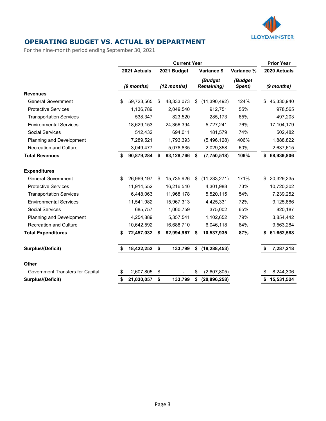

### **OPERATING BUDGET VS. ACTUAL BY DEPARTMENT**

For the nine-month period ending September 30, 2021

|                                  | <b>Current Year</b> |              |    |               |    |                              |                   |    | <b>Prior Year</b> |
|----------------------------------|---------------------|--------------|----|---------------|----|------------------------------|-------------------|----|-------------------|
|                                  |                     | 2021 Actuals |    | 2021 Budget   |    | Variance \$                  | Variance %        |    | 2020 Actuals      |
|                                  |                     | $(9$ months) |    | $(12$ months) |    | (Budget<br><b>Remaining)</b> | (Budget<br>Spent) |    | (9 months)        |
| <b>Revenues</b>                  |                     |              |    |               |    |                              |                   |    |                   |
| <b>General Government</b>        | \$                  | 59,723,565   | S  | 48,333,073    | S  | (11,390,492)                 | 124%              | \$ | 45,330,940        |
| <b>Protective Services</b>       |                     | 1,136,789    |    | 2,049,540     |    | 912,751                      | 55%               |    | 978,565           |
| <b>Transportation Services</b>   |                     | 538,347      |    | 823,520       |    | 285,173                      | 65%               |    | 497,203           |
| <b>Environmental Services</b>    |                     | 18,629,153   |    | 24,356,394    |    | 5,727,241                    | 76%               |    | 17,104,179        |
| <b>Social Services</b>           |                     | 512,432      |    | 694,011       |    | 181,579                      | 74%               |    | 502,482           |
| Planning and Development         |                     | 7,289,521    |    | 1,793,393     |    | (5,496,128)                  | 406%              |    | 1,888,822         |
| <b>Recreation and Culture</b>    |                     | 3,049,477    |    | 5,078,835     |    | 2,029,358                    | 60%               |    | 2,637,615         |
| <b>Total Revenues</b>            | S                   | 90,879,284   | \$ | 83,128,766    | \$ | (7,750,518)                  | 109%              | \$ | 68,939,806        |
| <b>Expenditures</b>              |                     |              |    |               |    |                              |                   |    |                   |
| <b>General Government</b>        | \$                  | 26,969,197   | \$ | 15,735,926    | S  | (11, 233, 271)               | 171%              | \$ | 20,329,235        |
| <b>Protective Services</b>       |                     | 11,914,552   |    | 16,216,540    |    | 4,301,988                    | 73%               |    | 10,720,302        |
| <b>Transportation Services</b>   |                     | 6,448,063    |    | 11,968,178    |    | 5,520,115                    | 54%               |    | 7,239,252         |
| <b>Environmental Services</b>    |                     | 11,541,982   |    | 15,967,313    |    | 4,425,331                    | 72%               |    | 9,125,886         |
| Social Services                  |                     | 685,757      |    | 1,060,759     |    | 375,002                      | 65%               |    | 820,187           |
| Planning and Development         |                     | 4,254,889    |    | 5,357,541     |    | 1,102,652                    | 79%               |    | 3,854,442         |
| <b>Recreation and Culture</b>    |                     | 10,642,592   |    | 16,688,710    |    | 6,046,118                    | 64%               |    | 9,563,284         |
| <b>Total Expenditures</b>        | \$                  | 72,457,032   | \$ | 82,994,967    | \$ | 10,537,935                   | 87%               | \$ | 61,652,588        |
| <b>Surplus/(Deficit)</b>         |                     | 18,422,252   | \$ | 133,799       | \$ | (18, 288, 453)               |                   |    | 7,287,218         |
| <b>Other</b>                     |                     |              |    |               |    |                              |                   |    |                   |
| Government Transfers for Capital | \$                  | 2,607,805    | \$ |               | \$ | (2,607,805)                  |                   |    | 8,244,306         |
| <b>Surplus/(Deficit)</b>         | \$                  | 21,030,057   | \$ | 133,799       | \$ | (20, 896, 258)               |                   | \$ | 15,531,524        |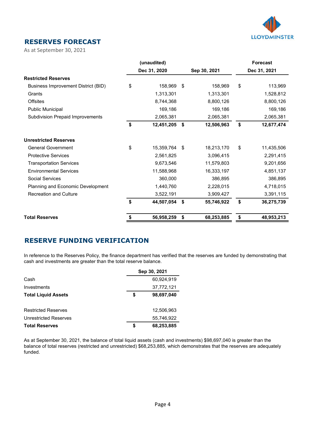

#### **RESERVES FORECAST**

As at September 30, 2021

|                                         | (unaudited)      |                  | <b>Forecast</b>  |
|-----------------------------------------|------------------|------------------|------------------|
|                                         | Dec 31, 2020     | Sep 30, 2021     | Dec 31, 2021     |
| <b>Restricted Reserves</b>              |                  |                  |                  |
| Business Improvement District (BID)     | \$<br>158,969    | \$<br>158,969    | \$<br>113,969    |
| Grants                                  | 1,313,301        | 1,313,301        | 1,528,812        |
| <b>Offsites</b>                         | 8,744,368        | 8,800,126        | 8,800,126        |
| <b>Public Municipal</b>                 | 169,186          | 169,186          | 169,186          |
| <b>Subdivision Prepaid Improvements</b> | 2,065,381        | 2,065,381        | 2,065,381        |
|                                         | \$<br>12,451,205 | \$<br>12,506,963 | \$<br>12,677,474 |
| <b>Unrestricted Reserves</b>            |                  |                  |                  |
| <b>General Government</b>               | \$<br>15,359,764 | \$<br>18,213,170 | \$<br>11,435,506 |
| <b>Protective Services</b>              | 2,561,825        | 3,096,415        | 2,291,415        |
| <b>Transportation Services</b>          | 9,673,546        | 11,579,803       | 9,201,656        |
| <b>Environmental Services</b>           | 11,588,968       | 16,333,197       | 4,851,137        |
| Social Services                         | 360,000          | 386,895          | 386,895          |
| Planning and Economic Development       | 1,440,760        | 2,228,015        | 4,718,015        |
| <b>Recreation and Culture</b>           | 3,522,191        | 3,909,427        | 3,391,115        |
|                                         | \$<br>44,507,054 | \$<br>55,746,922 | \$<br>36,275,739 |
| <b>Total Reserves</b>                   | \$<br>56,958,259 | \$<br>68,253,885 | \$<br>48,953,213 |

#### **RESERVE FUNDING VERIFICATION**

In reference to the Reserves Policy, the finance department has verified that the reserves are funded by demonstrating that cash and investments are greater than the total reserve balance.

|                            | Sep 30, 2021 |            |  |  |  |  |
|----------------------------|--------------|------------|--|--|--|--|
| Cash                       |              | 60,924,919 |  |  |  |  |
| Investments                |              | 37,772,121 |  |  |  |  |
| <b>Total Liquid Assets</b> | S            | 98,697,040 |  |  |  |  |
|                            |              |            |  |  |  |  |
| <b>Restricted Reserves</b> |              | 12,506,963 |  |  |  |  |
| Unrestricted Reserves      |              | 55,746,922 |  |  |  |  |
| <b>Total Reserves</b>      | \$           | 68,253,885 |  |  |  |  |

As at September 30, 2021, the balance of total liquid assets (cash and investments) \$98,697,040 is greater than the balance of total reserves (restricted and unrestricted) \$68,253,885, which demonstrates that the reserves are adequately funded.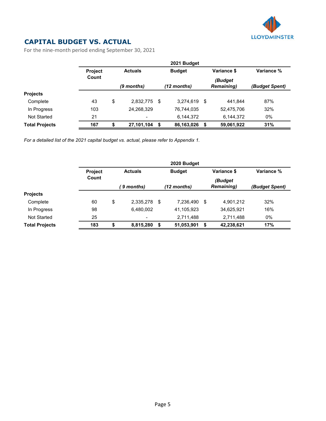

## **CAPITAL BUDGET VS. ACTUAL**

For the nine-month period ending September 30, 2021

|                       | 2021 Budget    |            |                |      |               |      |                              |                |  |  |
|-----------------------|----------------|------------|----------------|------|---------------|------|------------------------------|----------------|--|--|
|                       | <b>Project</b> |            | <b>Actuals</b> |      | <b>Budget</b> |      | Variance \$                  | Variance %     |  |  |
|                       | Count          | (9 months) |                |      | (12 months)   |      | (Budget<br><b>Remaining)</b> | (Budget Spent) |  |  |
| <b>Projects</b>       |                |            |                |      |               |      |                              |                |  |  |
| Complete              | 43             | \$         | 2,832,775      | - \$ | 3,274,619     | - \$ | 441.844                      | 87%            |  |  |
| In Progress           | 103            |            | 24,268,329     |      | 76,744,035    |      | 52,475,706                   | 32%            |  |  |
| <b>Not Started</b>    | 21             |            | $\blacksquare$ |      | 6,144,372     |      | 6,144,372                    | $0\%$          |  |  |
| <b>Total Projects</b> | 167            | S          | 27,101,104 \$  |      | 86,163,026    |      | 59,061,922                   | 31%            |  |  |

*For a detailed list of the 2021 capital budget vs. actual, please refer to Appendix 1.*

|                       | 2020 Budget    |    |                          |                              |            |      |                              |                |  |  |  |
|-----------------------|----------------|----|--------------------------|------------------------------|------------|------|------------------------------|----------------|--|--|--|
|                       | <b>Project</b> |    | <b>Actuals</b>           | Variance \$<br><b>Budget</b> |            |      | Variance %                   |                |  |  |  |
| Count                 |                |    | (12 months)<br>9 months) |                              |            |      | (Budget<br><b>Remaining)</b> | (Budget Spent) |  |  |  |
| <b>Projects</b>       |                |    |                          |                              |            |      |                              |                |  |  |  |
| Complete              | 60             | \$ | 2,335,278                | \$                           | 7,236,490  | - \$ | 4,901,212                    | 32%            |  |  |  |
| In Progress           | 98             |    | 6,480,002                |                              | 41,105,923 |      | 34,625,921                   | 16%            |  |  |  |
| <b>Not Started</b>    | 25             |    | $\overline{\phantom{a}}$ |                              | 2,711,488  |      | 2,711,488                    | $0\%$          |  |  |  |
| <b>Total Projects</b> | 183            |    | 8,815,280                | S                            | 51,053,901 |      | 42,238,621                   | 17%            |  |  |  |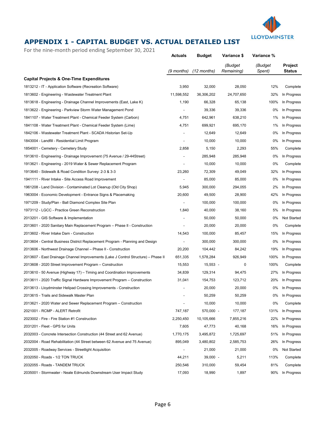

## **APPENDIX 1 - CAPITAL BUDGET VS. ACTUAL DETAILED LIST**

For the nine-month period ending September 30, 2021

|                                                                                    | <b>Actuals</b>           | <b>Budget</b> | Variance \$           | Variance %        |                                 |
|------------------------------------------------------------------------------------|--------------------------|---------------|-----------------------|-------------------|---------------------------------|
|                                                                                    | (9 months)               | $(12$ months) | (Budget<br>Remaining) | (Budget<br>Spent) | <b>Project</b><br><b>Status</b> |
| Capital Projects & One-Time Expenditures                                           |                          |               |                       |                   |                                 |
| 1813212 - IT - Application Software (Recreation Software)                          | 3,950                    | 32,000        | 28,050                | 12%               | Complete                        |
| 1813602 - Engineering - Wastewater Treatment Plant                                 | 11,598,552               | 36,306,202    | 24,707,650            | 32%               | In Progress                     |
| 1813618 - Engineering - Drainage Channel Improvements (East, Lake K)               | 1,190                    | 66,328        | 65,138                | 100%              | In Progress                     |
| 1813622 - Engineering - Parkview Storm Water Management Pond                       |                          | 39,336        | 39,336                | 0%                | In Progress                     |
| 1841107 - Water Treatment Plant - Chemical Feeder System (Carbon)                  | 4,751                    | 642,961       | 638,210               | 1%                | In Progress                     |
| 1841108 - Water Treatment Plant - Chemical Feeder System (Lime)                    | 4,751                    | 699,921       | 695,170               | 1%                | In Progress                     |
| 1842106 - Wastewater Treatment Plant - SCADA Historian Set-Up                      |                          | 12,649        | 12,649                | 0%                | In Progress                     |
| 1843004 - Landfill - Residential Limit Program                                     |                          | 10,000        | 10,000                | 0%                | In Progress                     |
| 1854001 - Cemetery - Cemetery Study                                                | 2,858                    | 5,150         | 2,293                 | 55%               | Complete                        |
| 1913610 - Engineering - Drainage Improvement (75 Avenue / 29-44Street)             | $\overline{\phantom{a}}$ | 285,948       | 285,948               | 0%                | In Progress                     |
| 1913621 - Engineering - 2019 Water & Sewer Replacement Program                     | $\overline{\phantom{a}}$ | 10,000        | 10,000                | 0%                | Complete                        |
| 1913640 - Sidewalk & Road Condition Survey: 2-3 & 3-3                              | 23,260                   | 72,309        | 49,049                | 32%               | In Progress                     |
| 1941111 - River Intake - Site Access Road Improvement                              |                          | 85,000        | 85,000                | 0%                | In Progress                     |
| 1961208 - Land Division - Contaminated Lot Cleanup (Old City Shop)                 | 5,945                    | 300,000       | 294,055               | 2%                | In Progress                     |
| 1963004 - Economic Development - Entrance Signs & Placemaking                      | 20,600                   | 49,500        | 28,900                | 42%               | In Progress                     |
| 1971209 - Study/Plan - Ball Diamond Complex Site Plan                              |                          | 100,000       | 100,000               | 0%                | In Progress                     |
| 1973112 - LGCC - Practice Green Reconstruction                                     | 1,840                    | 40,000        | 38,160                | 5%                | In Progress                     |
| 2013201 - GIS Software & Implementation                                            |                          | 50,000        | 50,000                | 0%                | Not Started                     |
| 2013601 - 2020 Sanitary Main Replacement Program - Phase II - Construction         |                          | 20,000        | 20,000                | 0%                | Complete                        |
| 2013602 - River Intake Dam - Construction                                          | 14,543                   | 100,000       | 85,457                | 15%               | In Progress                     |
| 2013604 - Central Business District Replacement Program - Planning and Design      |                          | 300,000       | 300,000               | 0%                | In Progress                     |
| 2013606 - Northwest Drainage Channel - Phase II - Construction                     | 20,200                   | 104,442       | 84,242                | 19%               | In Progress                     |
| 2013607 - East Drainage Channel Improvements (Lake J Control Structure) – Phase II | 651,335                  | 1,578,284     | 926,949               | 100%              | In Progress                     |
| 2013608 - 2020 Street Improvement Program - Construction                           | 15,553                   | $15,553 -$    | 0                     | 100%              | Complete                        |
| 2013610 - 50 Avenue (Highway 17) – Timing and Coordination Improvements            | 34,839                   | 129,314       | 94,475                | 27%               | In Progress                     |
| 2013611 - 2020 Traffic Signal Hardware Improvement Program - Construction          | 31,041                   | 154,753       | 123,712               | 20%               | In Progress                     |
| 2013613 - Lloydminster Helipad Crossing Improvements - Construction                | $\overline{\phantom{a}}$ | 20,000        | 20,000                | 0%                | In Progress                     |
| 2013615 - Trails and Sidewalk Master Plan                                          |                          | 50,259        | 50,259                | 0%                | In Progress                     |
| 2013621 - 2020 Water and Sewer Replacement Program - Construction                  |                          | 10,000        | 10,000                | 0%                | Complete                        |
| 2021001 - RCMP - ALERT Retrofit                                                    | 747,187                  | 570,000 -     | 177,187               | 131%              | In Progress                     |
| 2023002 - Fire - Fire Station #1 Construction                                      | 2,250,450                | 10,105,666    | 7,855,216             | 22%               | In Progress                     |
| 2031201 - Fleet - GPS for Units                                                    | 7,605                    | 47,773        | 40,168                | 16%               | In Progress                     |
| 2032003 - Concrete Intersection Construction (44 Street and 62 Avenue)             | 1,770,175                | 3,495,872     | 1,725,697             | 51%               | In Progress                     |
| 2032004 - Road Rehabilitation (44 Street between 62 Avenue and 75 Avenue)          | 895,049                  | 3,480,802     | 2,585,753             | 26%               | In Progress                     |
| 2032005 - Roadway Services - Streetlight Acquisition                               |                          | 21,000        | 21,000                | 0%                | Not Started                     |
| 2032050 - Roads - 1/2 TON TRUCK                                                    | 44,211                   | $39,000 -$    | 5,211                 | 113%              | Complete                        |
| 2032055 - Roads - TANDEM TRUCK                                                     | 250,546                  | 310,000       | 59,454                | 81%               | Complete                        |
| 2035001 - Stormwater - Neale Edmunds Downstream User Impact Study                  | 17,093                   | 18,990        | 1,897                 | 90%               | In Progress                     |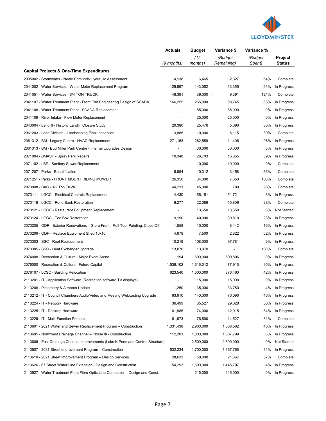

|                                                                                    | <b>Actuals</b>           | <b>Budget</b>   | Variance \$           | Variance %        |                          |
|------------------------------------------------------------------------------------|--------------------------|-----------------|-----------------------|-------------------|--------------------------|
|                                                                                    | (9 months)               | (12)<br>months) | (Budget<br>Remaining) | (Budget<br>Spent) | Project<br><b>Status</b> |
| <b>Capital Projects &amp; One-Time Expenditures</b>                                |                          |                 |                       |                   |                          |
| 2035002 - Stormwater - Neale Edmunds Hydraulic Assessment                          | 4,138                    | 6,465           | 2,327                 | 64%               | Complete                 |
| 2041002 - Water Services - Water Meter Replacement Program                         | 129,697                  | 143,052         | 13,355                | 91%               | In Progress              |
| 2041051 - Water Services - 3/4 TON TRUCK                                           | 48,391                   | 39,000 -        | 9,391                 | 124%              | Complete                 |
| 2041107 - Water Treatment Plant - Front End Engineering Design of SCADA            | 166,255                  | 265,000         | 98,745                | 63%               | In Progress              |
| 2041108 - Water Treatment Plant - SCADA Replacement                                |                          | 85,000          | 85,000                | 0%                | In Progress              |
| 2041109 - River Intake - Flow Meter Replacement                                    |                          | 25,000          | 25,000                | 0%                | In Progress              |
| 2043004 - Landfill - Historic Landfill Closure Study                               | 20,380                   | 25,476          | 5,096                 | 80%               | In Progress              |
| 2061203 - Land Division - Landscaping Final Inspection                             | 3,885                    | 10,000          | 6,115                 | 39%               | Complete                 |
| 2061312 - BM - Legacy Centre - HVAC Replacement                                    | 271,153                  | 282,559         | 11,406                | 96%               | In Progress              |
| 2061313 - BM - Bud Miller Park Centre - Internal Upgrades Design                   |                          | 30,000          | 30,000                | 0%                | In Progress              |
| 2071004 - BMASP - Spray Park Repairs                                               | 10,348                   | 26,703          | 16,355                | 39%               | In Progress              |
| 2071102 - LBP - Sanitary Sewer Replacement                                         |                          | 10,000          | 10,000                | 0%                | Complete                 |
| 2071207 - Parks - Beautification                                                   | 6,854                    | 10,312          | 3,458                 | 66%               | Complete                 |
| 2071251 - Parks - FRONT MOUNT RIDING MOWER                                         | 26,350                   | 34,000          | 7,650                 | 100%              | Complete                 |
| 2073008 - BAC - 1/2 Ton Truck                                                      | 44,211                   | 45,000          | 789                   | 98%               | Complete                 |
| 2073111 - LGCC - Electrical Controls Replacement                                   | 4,430                    | 56,151          | 51,721                | 8%                | In Progress              |
| 2073118 - LGCC - Pond Bank Restoration                                             | 6,277                    | 22,086          | 15,809                | 28%               | Complete                 |
| 2073121 - LGCC - Restaurant Equipment Replacement                                  | $\overline{\phantom{a}}$ | 13,650          | 13,650                | 0%                | Not Started              |
| 2073124 - LGCC - Tee Box Restoration                                               | 9,190                    | 40,000          | 30,810                | 23%               | In Progress              |
| 2073205 - ODP - Exterior Renovations - Store Front - Roll Top, Painting, Close Off | 1,558                    | 10,000          | 8,442                 | 16%               | In Progress              |
| 2073206 - ODP - Replace Equipment Shed 10x10                                       | 4,678                    | 7,500           | 2,822                 | 62%               | In Progress              |
| 2073303 - SSC - Roof Replacement                                                   | 10,219                   | 108,000         | 97,781                | 9%                | In Progress              |
| 2073305 - SSC - Heat Exchanger Upgrade                                             | 13,070                   | 13,070          |                       | 100%              | Complete                 |
| 2074008 - Recreation & Culture - Major Event Arena                                 | 194                      | 600,000         | 599,806               | 0%                | In Progress              |
| 2076000 - Recreation & Culture - Future Capital                                    | 1,538,102                | 1,616,012       | 77,910                | 95%               | In Progress              |
| 2076107 - LCSC - Building Relocation                                               | 623,540                  | 1,500,000       | 876,460               | 42%               | In Progress              |
| 2113201 - IT - Application Software (Recreation software TV displays)              |                          | 15,000          | 15,000                | 0%                | In Progress              |
| 2113208 - Pictometry & Airphoto Update                                             | 1,250                    | 35,000          | 33,750                | 4%                | In Progress              |
| 2113212 - IT - Council Chambers Audio/Video and Meeting Webcasting Upgrade         | 63,910                   | 140,000         | 76,090                | 46%               | In Progress              |
| 2113224 - IT - Network Hardware                                                    | 36,499                   | 65,527          | 29,028                | 56%               | In Progress              |
| 2113225 - IT - Desktop Hardware                                                    | 61,985                   | 74,000          | 12,015                | 84%               | In Progress              |
| 2113226 - IT - Multi-Function Printers                                             | 61,973                   | 76,500          | 14,527                | 81%               | Complete                 |
| 2113601 - 2021 Water and Sewer Replacement Program - Construction                  | 1,331,438                | 2,900,000       | 1,568,562             | 46%               | In Progress              |
| 2113605 - Northwest Drainage Channel - Phase III - Construction                    | 112,201                  | 1,800,000       | 1,687,799             | 6%                | In Progress              |
| 2113606 - East Drainage Channel Improvements (Lake K Pond and Control Structure)   | $\overline{\phantom{a}}$ | 2,500,000       | 2,500,000             | 0%                | Not Started              |
| 2113607 - 2021 Street Improvement Program - Construction                           | 532,234                  | 1,700,000       | 1,167,766             | 31%               | In Progress              |
| 2113610 - 2021 Street Improvement Program - Design Services                        | 28,633                   | 50,000          | 21,367                | 57%               | Complete                 |
| 2113626 - 67 Street Water Line Extension - Design and Construction                 | 54,293                   | 1,500,000       | 1,445,707             | 4%                | In Progress              |
| 2113627 - Water Treatment Plant Fibre Optic Line Connection - Design and Const.    | $\overline{\phantom{a}}$ | 215,000         | 215,000               | 0%                | In Progress              |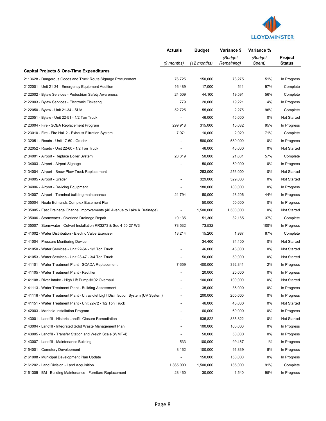

|                                                                                     | <b>Actuals</b>           | <b>Budget</b> | Variance \$           | Variance %        |                          |
|-------------------------------------------------------------------------------------|--------------------------|---------------|-----------------------|-------------------|--------------------------|
|                                                                                     | (9 months)               | (12 months)   | (Budget<br>Remaining) | (Budget<br>Spent) | Project<br><b>Status</b> |
| Capital Projects & One-Time Expenditures                                            |                          |               |                       |                   |                          |
| 2113628 - Dangerous Goods and Truck Route Signage Procurement                       | 76,725                   | 150,000       | 73,275                | 51%               | In Progress              |
| 2122001 - Unit 21-34 - Emergency Equipment Addition                                 | 16,489                   | 17,000        | 511                   | 97%               | Complete                 |
| 2122002 - Bylaw Services - Pedestrian Safety Awareness                              | 24,509                   | 44,100        | 19,591                | 56%               | Complete                 |
| 2122003 - Bylaw Services - Electronic Ticketing                                     | 779                      | 20,000        | 19,221                | 4%                | In Progress              |
| 2122050 - Bylaw - Unit 21-34 - SUV                                                  | 52,725                   | 55,000        | 2,275                 | 96%               | Complete                 |
| 2122051 - Bylaw - Unit 22-51 - 1/2 Ton Truck                                        | $\overline{\phantom{a}}$ | 46,000        | 46,000                | 0%                | Not Started              |
| 2123004 - Fire - SCBA Replacement Program                                           | 299,918                  | 315,000       | 15,082                | 95%               | In Progress              |
| 2123010 - Fire - Fire Hall 2 - Exhaust Filtration System                            | 7,071                    | 10,000        | 2,929                 | 71%               | Complete                 |
| 2132051 - Roads - Unit 17-60 - Grader                                               | $\blacksquare$           | 580,000       | 580,000               | 0%                | In Progress              |
| 2132052 - Roads - Unit 22-60 - 1/2 Ton Truck                                        |                          | 46,000        | 46,000                | 0%                | Not Started              |
| 2134001 - Airport - Replace Boiler System                                           | 28,319                   | 50,000        | 21,681                | 57%               | Complete                 |
| 2134003 - Airport - Airport Signage                                                 |                          | 50,000        | 50,000                | 0%                | In Progress              |
| 2134004 - Airport - Snow Plow Truck Replacement                                     |                          | 253,000       | 253,000               | 0%                | <b>Not Started</b>       |
| 2134005 - Airport - Grader                                                          |                          | 329,000       | 329,000               | 0%                | Not Started              |
| 2134006 - Airport - De-icing Equipment                                              |                          | 180,000       | 180,000               | 0%                | In Progress              |
| 2134007 - Airport - Terminal building maintenance                                   | 21,794                   | 50,000        | 28,206                | 44%               | In Progress              |
| 2135004 - Neale Edmunds Complex Easement Plan                                       |                          | 50,000        | 50,000                | 0%                | In Progress              |
| 2135005 - East Drainage Channel Improvements (40 Avenue to Lake K Drainage)         | $\overline{\phantom{a}}$ | 1,500,000     | 1,500,000             | 0%                | Not Started              |
| 2135006 - Stormwater - Overland Drainage Repair                                     | 19,135                   | 51,300        | 32,165                | 37%               | Complete                 |
| 2135007 - Stormwater - Culvert Installation RR3273 & Sec 4-50-27-W3                 | 73,532                   | 73,532        |                       | 100%              | In Progress              |
| 2141002 - Water Distribution - Electric Valve Exerciser                             | 13,214                   | 15,200        | 1,987                 | 87%               | Complete                 |
| 2141004 - Pressure Monitoring Device                                                | $\overline{\phantom{a}}$ | 34,400        | 34,400                | 0%                | Not Started              |
| 2141050 - Water Services - Unit 22-64 - 1/2 Ton Truck                               |                          | 46,000        | 46,000                | 0%                | Not Started              |
| 2141053 - Water Services - Unit 23-47 - 3/4 Ton Truck                               |                          | 50,000        | 50,000                | 0%                | Not Started              |
| 2141101 - Water Treatment Plant - SCADA Replacement                                 | 7,659                    | 400,000       | 392,341               | 2%                | In Progress              |
| 2141105 - Water Treatment Plant - Rectifier                                         |                          | 20,000        | 20,000                | 0%                | In Progress              |
| 2141108 - River Intake - High Lift Pump #102 Overhaul                               |                          | 100,000       | 100,000               | 0%                | Not Started              |
| 2141113 - Water Treatment Plant - Building Assessment                               |                          | 35,000        | 35,000                | 0%                | In Progress              |
| 2141116 - Water Treatment Plant - Ultraviolet Light Disinfection System (UV System) |                          | 200,000       | 200,000               | 0%                | In Progress              |
| 2141151 - Water Treatment Plant - Unit 22-72 - 1/2 Ton Truck                        |                          | 46,000        | 46,000                | 0%                | Not Started              |
| 2142003 - Manhole Installation Program                                              |                          | 60,000        | 60,000                | 0%                | In Progress              |
| 2143001 - Landfill - Historic Landfill Closure Remediation                          |                          | 835,822       | 835,822               | 0%                | Not Started              |
| 2143004 - Landfill - Integrated Solid Waste Management Plan                         |                          | 100,000       | 100,000               | 0%                | In Progress              |
| 2143005 - Landfill - Transfer Station and Weigh Scale (WMF-4)                       |                          | 50,000        | 50,000                | 0%                | In Progress              |
| 2143007 - Landfill - Maintenance Building                                           | 533                      | 100,000       | 99,467                | 1%                | In Progress              |
| 2154001 - Cemetery Development                                                      | 8,162                    | 100,000       | 91,839                | 8%                | In Progress              |
| 2161008 - Municipal Development Plan Update                                         | $\overline{\phantom{0}}$ | 150,000       | 150,000               | 0%                | In Progress              |
| 2161202 - Land Division - Land Acquisition                                          | 1,365,000                | 1,500,000     | 135,000               | 91%               | Complete                 |
| 2161309 - BM - Building Maintenance - Furniture Replacement                         | 28,460                   | 30,000        | 1,540                 | 95%               | In Progress              |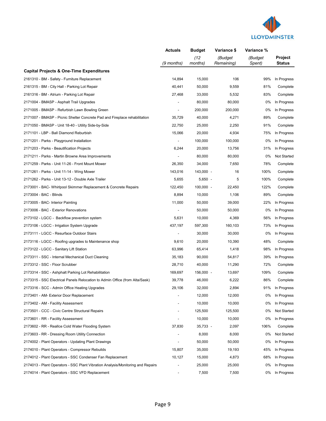

|                                                                                 | <b>Actuals</b>               | <b>Budget</b>   | Variance \$           | Variance %        |                          |
|---------------------------------------------------------------------------------|------------------------------|-----------------|-----------------------|-------------------|--------------------------|
|                                                                                 | (9 months)                   | (12)<br>months) | (Budget<br>Remaining) | (Budget<br>Spent) | Project<br><b>Status</b> |
| <b>Capital Projects &amp; One-Time Expenditures</b>                             |                              |                 |                       |                   |                          |
| 2161310 - BM - Safety - Furniture Replacement                                   | 14,894                       | 15,000          | 106                   | 99%               | In Progress              |
| 2161315 - BM - City Hall - Parking Lot Repair                                   | 40,441                       | 50,000          | 9,559                 | 81%               | Complete                 |
| 2161316 - BM - Atrium - Parking Lot Repair                                      | 27,468                       | 33,000          | 5,532                 | 83%               | Complete                 |
| 2171004 - BMASP - Asphalt Trail Upgrades                                        | $\qquad \qquad \blacksquare$ | 80,000          | 80,000                | 0%                | In Progress              |
| 2171005 - BMASP - Refurbish Lawn Bowling Green                                  |                              | 200,000         | 200,000               | 0%                | In Progress              |
| 2171007 - BMASP - Picnic Shelter Concrete Pad and Fireplace rehabilitation      | 35,729                       | 40,000          | 4,271                 | 89%               | Complete                 |
| 2171050 - BMASP - Unit 18-40 - Utility Side-by-Side                             | 22,750                       | 25,000          | 2,250                 | 91%               | Complete                 |
| 2171101 - LBP - Ball Diamond Reburbish                                          | 15,066                       | 20,000          | 4,934                 | 75%               | In Progress              |
| 2171201 - Parks - Playground Installation                                       | $\overline{\phantom{a}}$     | 100,000         | 100,000               | 0%                | In Progress              |
| 2171203 - Parks - Beautification Projects                                       | 6,244                        | 20,000          | 13,756                | 31%               | In Progress              |
| 2171211 - Parks - Martin Browne Area Improvements                               |                              | 80,000          | 80,000                | 0%                | Not Started              |
| 2171259 - Parks - Unit 11-26 - Front Mount Mower                                | 26,350                       | 34,000          | 7,650                 | 78%               | Complete                 |
| 2171261 - Parks - Unit 11-14 - Wing Mower                                       | 143,016                      | 143,000 -       | 16                    | 100%              | Complete                 |
| 2171262 - Parks - Unit 13-12 - Double Axle Trailer                              | 5,655                        | $5,650 -$       | 5                     | 100%              | Complete                 |
| 2173001 - BAC- Whirlpool Skimmer Replacement & Concrete Repairs                 | 122,450                      | $100,000 -$     | 22,450                | 122%              | Complete                 |
| 2173004 - BAC - Blinds                                                          | 8,894                        | 10,000          | 1,106                 | 89%               | Complete                 |
| 2173005 - BAC- Interior Painting                                                | 11,000                       | 50,000          | 39,000                | 22%               | In Progress              |
| 2173006 - BAC - Exterior Renovations                                            | $\overline{\phantom{a}}$     | 50,000          | 50,000                | 0%                | In Progress              |
| 2173102 - LGCC - Backflow prevention system                                     | 5,631                        | 10,000          | 4,369                 | 56%               | In Progress              |
| 2173106 - LGCC - Irrigation System Upgrade                                      | 437,197                      | 597,300         | 160,103               | 73%               | In Progress              |
| 2173111 - LGCC - Resurface Outdoor Stairs                                       |                              | 30,000          | 30,000                | 0%                | In Progress              |
| 2173116 - LGCC - Roofing upgrades to Maintenance shop                           | 9,610                        | 20,000          | 10,390                | 48%               | Complete                 |
| 2173122 - LGCC - Sanitary Lift Station                                          | 63,996                       | 65,414          | 1,418                 | 98%               | In Progress              |
| 2173311 - SSC - Internal Mechanical Duct Cleaning                               | 35,183                       | 90,000          | 54,817                | 39%               | In Progress              |
| 2173312 - SSC - Floor Scrubber                                                  | 28,710                       | 40,000          | 11,290                | 72%               | Complete                 |
| 2173314 - SSC - Ashphalt Parking Lot Rehabilitation                             | 169,697                      | 156,000 -       | 13,697                | 109%              | Complete                 |
| 2173315 - SSC Electrical Panels Relocation to Admin Office (from Alta/Sask)     | 39,778                       | 46,000          | 6,222                 | 86%               | Complete                 |
| 2173316 - SCC - Admin Office Heating Upgrades                                   | 29,106                       | 32,000          | 2,894                 | 91%               | In Progress              |
| 2173401 - AM- Exterior Door Replacement                                         |                              | 12,000          | 12,000                | 0%                | In Progress              |
| 2173402 - AM - Facility Assessment                                              |                              | 10,000          | 10,000                | 0%                | In Progress              |
| 2173501 - CCC - Civic Centre Structural Repairs                                 |                              | 125,500         | 125,500               | 0%                | Not Started              |
| 2173601 - RR - Facility Assessment                                              |                              | 10,000          | 10,000                | 0%                | In Progress              |
| 2173602 - RR - Reallce Cold Water Flooding System                               | 37,830                       | 35,733 -        | 2,097                 | 106%              | Complete                 |
| 2173603 - RR - Dressing Room Utility Connection                                 |                              | 8,000           | 8,000                 | 0%                | Not Started              |
| 2174002 - Plant Operators - Updating Plant Drawings                             |                              | 50,000          | 50,000                | 0%                | In Progress              |
| 2174010 - Plant Operators - Compressor Rebuilds                                 | 15,807                       | 35,000          | 19,193                | 45%               | In Progress              |
| 2174012 - Plant Operators - SSC Condenser Fan Replacement                       | 10,127                       | 15,000          | 4,873                 | 68%               | In Progress              |
| 2174013 - Plant Operators - SSC Plant Vibration Analysis/Monitoring and Repairs |                              | 25,000          | 25,000                | 0%                | In Progress              |
| 2174014 - Plant Operators - SSC VFD Replacement                                 |                              | 7,500           | 7,500                 | 0%                | In Progress              |